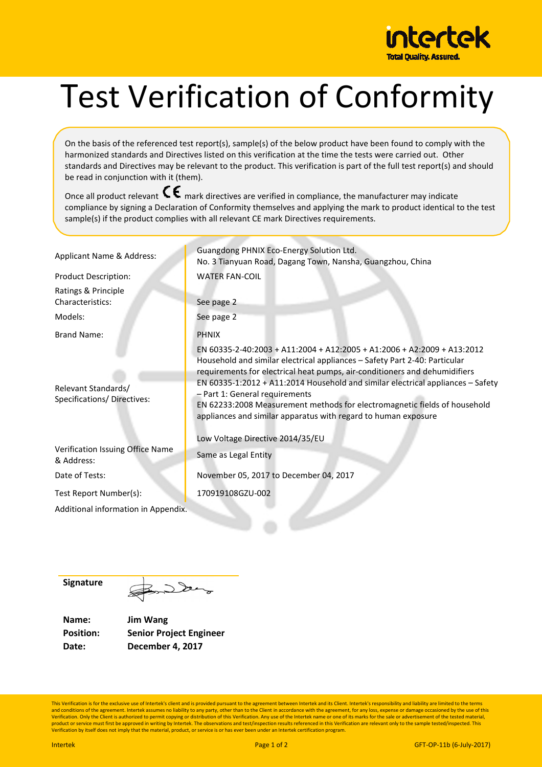

## Test Verification of Conformity

On the basis of the referenced test report(s), sample(s) of the below product have been found to comply with the harmonized standards and Directives listed on this verification at the time the tests were carried out. Other standards and Directives may be relevant to the product. This verification is part of the full test report(s) and should be read in conjunction with it (them).

Once all product relevant  $\mathsf{C}\mathsf{E}$  mark directives are verified in compliance, the manufacturer may indicate compliance by signing a Declaration of Conformity themselves and applying the mark to product identical to the test sample(s) if the product complies with all relevant CE mark Directives requirements.

| Applicant Name & Address:                                 | Guangdong PHNIX Eco-Energy Solution Ltd.<br>No. 3 Tianyuan Road, Dagang Town, Nansha, Guangzhou, China                                                                                                                                                                                                                                                                                                                                                                                                                                      |  |
|-----------------------------------------------------------|---------------------------------------------------------------------------------------------------------------------------------------------------------------------------------------------------------------------------------------------------------------------------------------------------------------------------------------------------------------------------------------------------------------------------------------------------------------------------------------------------------------------------------------------|--|
| <b>Product Description:</b>                               | <b>WATER FAN-COIL</b>                                                                                                                                                                                                                                                                                                                                                                                                                                                                                                                       |  |
| Ratings & Principle<br>Characteristics:                   | See page 2                                                                                                                                                                                                                                                                                                                                                                                                                                                                                                                                  |  |
| Models:                                                   | See page 2                                                                                                                                                                                                                                                                                                                                                                                                                                                                                                                                  |  |
| Brand Name:                                               | <b>PHNIX</b>                                                                                                                                                                                                                                                                                                                                                                                                                                                                                                                                |  |
| Relevant Standards/<br><b>Specifications/ Directives:</b> | EN 60335-2-40:2003 + A11:2004 + A12:2005 + A1:2006 + A2:2009 + A13:2012<br>Household and similar electrical appliances - Safety Part 2-40: Particular<br>requirements for electrical heat pumps, air-conditioners and dehumidifiers<br>EN 60335-1:2012 + A11:2014 Household and similar electrical appliances - Safety<br>- Part 1: General requirements<br>EN 62233:2008 Measurement methods for electromagnetic fields of household<br>appliances and similar apparatus with regard to human exposure<br>Low Voltage Directive 2014/35/EU |  |
| Verification Issuing Office Name<br>& Address:            | Same as Legal Entity                                                                                                                                                                                                                                                                                                                                                                                                                                                                                                                        |  |
| Date of Tests:                                            | November 05, 2017 to December 04, 2017                                                                                                                                                                                                                                                                                                                                                                                                                                                                                                      |  |
| Test Report Number(s):                                    | 170919108GZU-002                                                                                                                                                                                                                                                                                                                                                                                                                                                                                                                            |  |
| Additional information in Appendix.                       |                                                                                                                                                                                                                                                                                                                                                                                                                                                                                                                                             |  |
|                                                           |                                                                                                                                                                                                                                                                                                                                                                                                                                                                                                                                             |  |

**Signature**

Dec

**Name: Jim Wang Position: Senior Project Engineer Date: December 4, 2017**

This Verification is for the exclusive use of Intertek's client and is provided pursuant to the agreement between Intertek and its Client. Intertek's responsibility and liability are limited to the terms and conditions of the agreement. Intertek assumes no liability to any party, other than to the Client in accordance with the agreement, for any loss, expense or damage occasioned by the use of this<br>Verification. Only the C Verification by itself does not imply that the material, product, or service is or has ever been under an Intertek certification program.